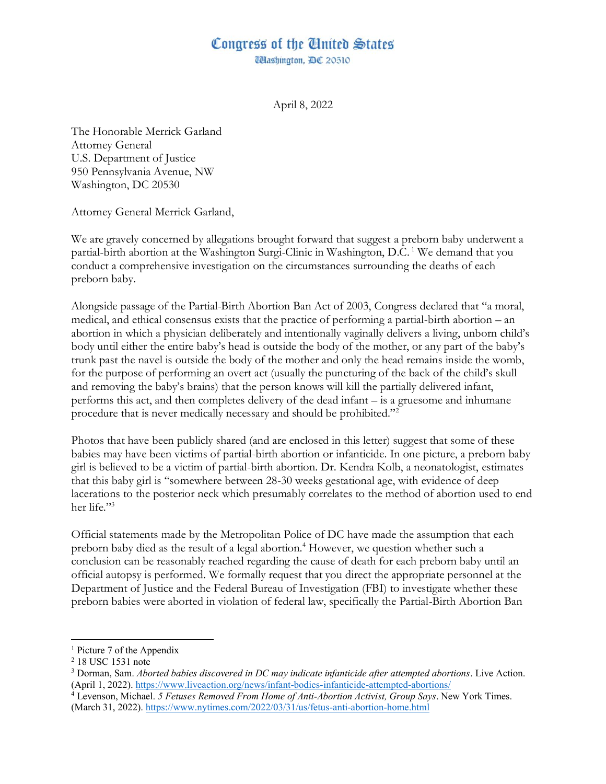## Congress of the Cinited States

**Mashington, DC 20510** 

April 8, 2022

The Honorable Merrick Garland Attorney General U.S. Department of Justice 950 Pennsylvania Avenue, NW Washington, DC 20530

Attorney General Merrick Garland,

We are gravely concerned by allegations brought forward that suggest a preborn baby underwent a partial-birth abortion at the Washington Surgi-Clinic in Washington, D.C. <sup>1</sup> We demand that you conduct a comprehensive investigation on the circumstances surrounding the deaths of each preborn baby.

Alongside passage of the Partial-Birth Abortion Ban Act of 2003, Congress declared that "a moral, medical, and ethical consensus exists that the practice of performing a partial-birth abortion  $-$  an abortion in which a physician deliberately and intentionally vaginally delivers a living, unborn child's body until either the entire baby's head is outside the body of the mother, or any part of the baby's trunk past the navel is outside the body of the mother and only the head remains inside the womb, for the purpose of performing an overt act (usually the puncturing of the back of the child's skull and removing the baby's brains) that the person knows will kill the partially delivered infant, performs this act, and then completes delivery of the dead infant  $-$  is a gruesome and inhumane procedure that is never medically necessary and should be prohibited."<sup>2</sup>

Photos that have been publicly shared (and are enclosed in this letter) suggest that some of these babies may have been victims of partial-birth abortion or infanticide. In one picture, a preborn baby girl is believed to be a victim of partial-birth abortion. Dr. Kendra Kolb, a neonatologist, estimates that this baby girl is "somewhere between 28-30 weeks gestational age, with evidence of deep lacerations to the posterior neck which presumably correlates to the method of abortion used to end her life."3

Official statements made by the Metropolitan Police of DC have made the assumption that each preborn baby died as the result of a legal abortion.<sup>4</sup> However, we question whether such a conclusion can be reasonably reached regarding the cause of death for each preborn baby until an official autopsy is performed. We formally request that you direct the appropriate personnel at the Department of Justice and the Federal Bureau of Investigation (FBI) to investigate whether these preborn babies were aborted in violation of federal law, specifically the Partial-Birth Abortion Ban

<sup>4</sup> Levenson, Michael. *5 Fetuses Removed From Home of Anti-Abortion Activist, Group Says*. New York Times. (March 31, 2022). https://www.nytimes.com/2022/03/31/us/fetus-anti-abortion-home.html

<sup>1</sup> Picture 7 of the Appendix

<sup>2</sup> 18 USC 1531 note

<sup>3</sup> Dorman, Sam. *Aborted babies discovered in DC may indicate infanticide after attempted abortions*. Live Action. (April 1, 2022). https://www.liveaction.org/news/infant-bodies-infanticide-attempted-abortions/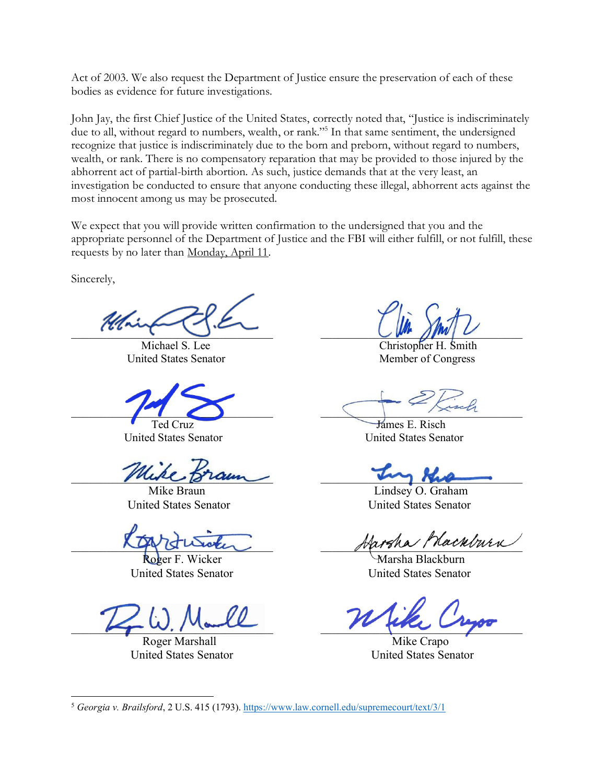Act of 2003. We also request the Department of Justice ensure the preservation of each of these bodies as evidence for future investigations.

John Jay, the first Chief Justice of the United States, correctly noted that, "Justice is indiscriminately due to all, without regard to numbers, wealth, or rank."<sup>5</sup> In that same sentiment, the undersigned recognize that justice is indiscriminately due to the born and preborn, without regard to numbers, wealth, or rank. There is no compensatory reparation that may be provided to those injured by the abhorrent act of partial-birth abortion. As such, justice demands that at the very least, an investigation be conducted to ensure that anyone conducting these illegal, abhorrent acts against the most innocent among us may be prosecuted.

We expect that you will provide written confirmation to the undersigned that you and the appropriate personnel of the Department of Justice and the FBI will either fulfill, or not fulfill, these requests by no later than Monday, April 11.

Sincerely,

\_\_\_\_\_\_\_\_\_\_\_\_\_\_\_\_\_\_\_\_\_\_\_\_\_\_\_\_\_\_\_\_\_\_ \_\_\_\_\_\_\_\_\_\_\_\_\_\_\_\_\_\_\_\_\_\_\_\_\_\_\_\_\_\_\_\_\_\_

United States Senator Member of Congress

muse praun

 $\mu$  ,  $\mu$  and  $\mu$ 

Roger Marshall Mike Crapo United States Senator United States Senator

Michael S. Lee Christopher H. Smith

 $\blacksquare$ 

Ted Cruz James E. Risch United States Senator United States Senator

Mike Braun **Lindsey O.** Graham United States Senator United States Senator

\_\_\_\_\_\_\_\_\_\_\_\_\_\_\_\_\_\_\_\_\_\_\_\_\_\_\_\_\_\_\_\_\_\_ \_\_\_\_\_\_\_\_\_\_\_\_\_\_\_\_\_\_\_\_\_\_\_\_\_\_\_\_\_\_\_\_\_\_

Roger F. Wicker Marsha Blackburn United States Senator United States Senator

<sup>5</sup> *Georgia v. Brailsford*, 2 U.S. 415 (1793). https://www.law.cornell.edu/supremecourt/text/3/1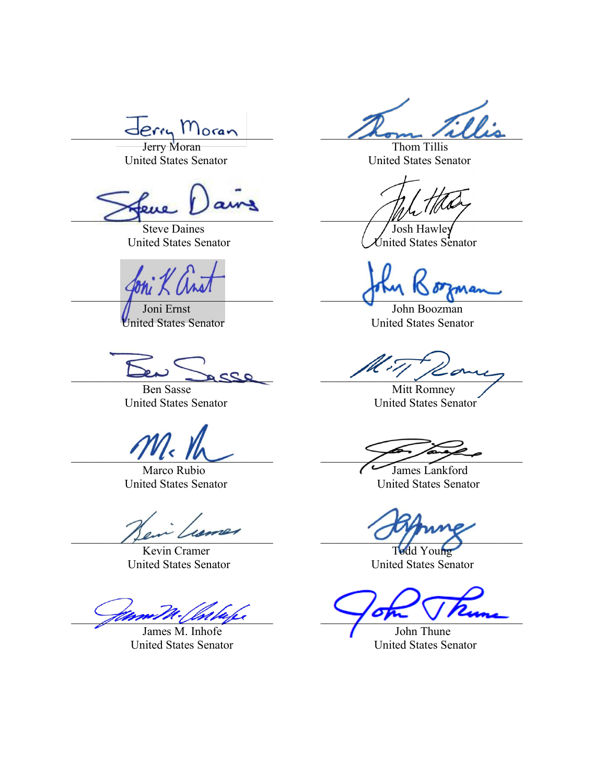$e$ rry Morar

Jerry Moran Thom Tillis

 $\bigcup_{i=1}^{\infty}$ 

Steve Daines Josh Hawley

John Boozman

Kevin Cramer Todd Young<br>
ited States Senator United States Senator United States Senator

 $\frac{1}{2}$ 

James M. Inhofe John Thune United States Senator United States Senator

United States Senator United States Senator

United States Senator Contract Contract Contract Contract Senator

 $\sum_{i=1}^n a_i$ 

United States Senator United States Senator

 $\frac{1}{2}$ 

Ben Sasse Mitt Romney United States Senator United States Senator

 $\frac{1}{2}$ 

Marco Rubio James Lankford United States Senator United States Senator

 $\bigcap$  few views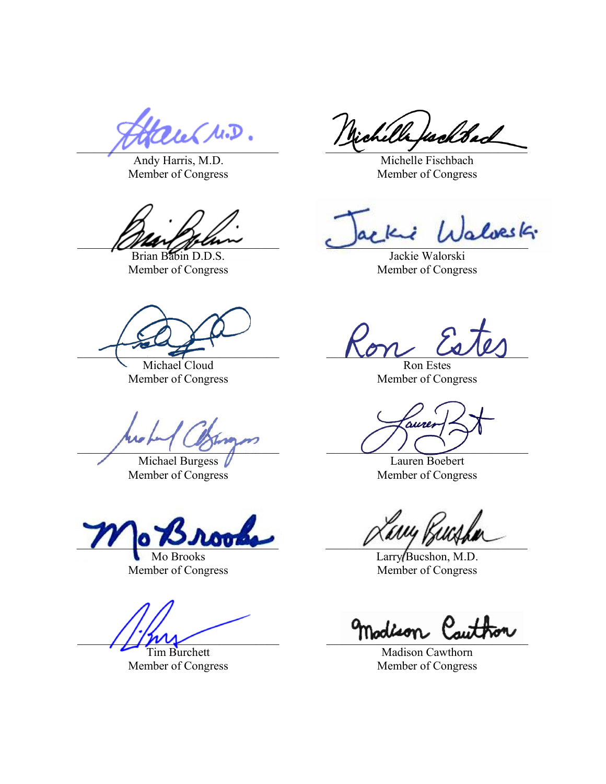Andy Harris, M.D. Member of Congress

Brian Babin D.D.S. Member of Congress

Michael Cloud Member of Congress

 $\Box$ 

Michael Burgess Member of Congress

 $\frac{1}{2}$ 

Mo Brooks Member of Congress

\_\_\_\_\_\_\_\_\_\_\_\_\_\_\_\_\_\_\_\_\_\_\_\_\_\_\_\_\_\_\_\_\_\_ \_\_\_\_\_\_\_\_\_\_\_\_\_\_\_\_\_\_\_\_\_\_\_\_\_\_\_\_\_\_\_\_\_\_

Tim Burchett Member of Congress

au M.D. Nichella fackbach

Michelle Fischbach Member of Congress

 $\mathcal{L}$   $\mathcal{L}$   $\mathcal{L}$   $\mathcal{L}$   $\mathcal{L}$   $\mathcal{L}$   $\mathcal{L}$   $\mathcal{L}$   $\mathcal{L}$   $\mathcal{L}$   $\mathcal{L}$   $\mathcal{L}$   $\mathcal{L}$   $\mathcal{L}$   $\mathcal{L}$   $\mathcal{L}$   $\mathcal{L}$   $\mathcal{L}$   $\mathcal{L}$   $\mathcal{L}$   $\mathcal{L}$   $\mathcal{L}$   $\mathcal{L}$   $\mathcal{L}$   $\mathcal{$ 

Jackie Walorski Member of Congress

 $\sim$   $\sim$   $\sim$   $\sim$   $\sim$   $\sim$   $\sim$   $\sim$ 

Ron Estes Member of Congress

Lauren Boebert Member of Congress

Larry Bucshon, M.D. Member of Congress

Madison Cawthorn Member of Congress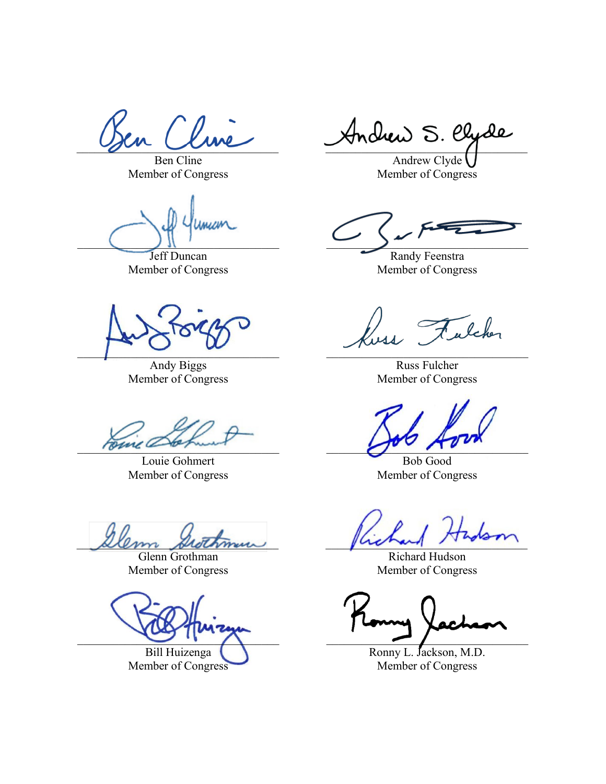Ben Cline Member of Congress

mum

Jeff Duncan Member of Congress

 $\Box$ 

Andy Biggs Member of Congress

 $\Delta_{\rm DM}$ 

Louie Gohmert Member of Congress

 $\mu$ lem shothman problem  $\mu$ 

Glenn Grothman Member of Congress

Bill Huizenga

Member of Congress

 $\gamma$  and  $\gamma$  and  $\gamma$  and  $\gamma$ 

Andrew Clyde Member of Congress

 $\Box$ 

Randy Feenstra Member of Congress

alcher

Russ Fulcher Member of Congress

Bob Good Member of Congress

Richard Hudson Member of Congress

\_\_\_\_\_\_\_\_\_\_\_\_\_\_\_\_\_\_\_\_\_\_\_\_\_\_\_\_\_\_\_\_\_\_ \_\_\_\_\_\_\_\_\_\_\_\_\_\_\_\_\_\_\_\_\_\_\_\_\_\_\_\_\_\_\_\_\_\_

Ronny L. Jackson, M.D. Member of Congress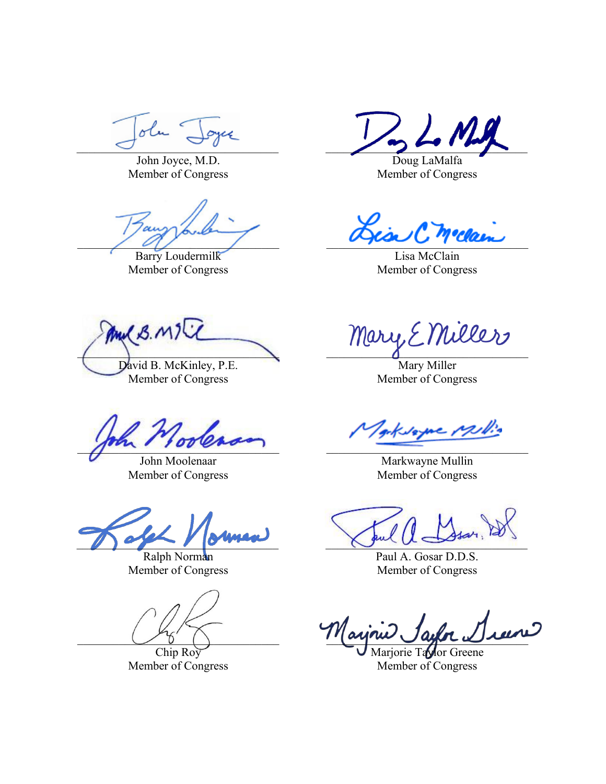olu -

John Joyce, M.D. Member of Congress

\_\_\_\_\_\_\_\_\_\_\_\_\_\_\_\_\_\_\_\_\_\_\_\_\_\_\_\_\_\_\_\_\_\_ \_\_\_\_\_\_\_\_\_\_\_\_\_\_\_\_\_\_\_\_\_\_\_\_\_\_\_\_\_\_\_\_\_\_

Barry Loudermilk Member of Congress

Mul B. MIL David B. McKinley, P.E.

Member of Congress

 $\frac{1}{\sqrt{2\pi}}$ 

John Moolenaar Member of Congress

 $\bigcup_{i=1}^n a_i$ 

Ralph Norman Member of Congress

Chip Roy Member of Congress

\_\_\_\_\_\_\_\_\_\_\_\_\_\_\_\_\_\_\_\_\_\_\_\_\_\_\_\_\_\_\_\_\_\_ \_\_\_\_\_\_\_\_\_\_\_\_\_\_\_\_\_\_\_\_\_\_\_\_\_\_\_\_\_\_\_\_\_\_

Doug LaMalfa Member of Congress

Lisa McClain Member of Congress

mary Emiller

Mary Miller Member of Congress

e pulle

Markwayne Mullin Member of Congress

Paul A. Gosar D.D.S. Member of Congress

 $\bigcup_{\beta}$   $\bigcap$ 

arjorie Taylor Greene Member of Congress